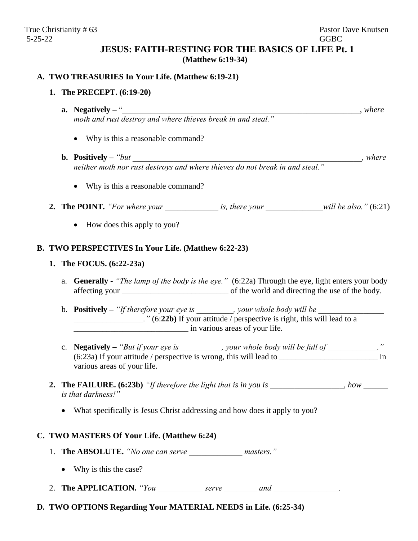# **JESUS: FAITH-RESTING FOR THE BASICS OF LIFE Pt. 1 (Matthew 6:19-34)**

# **A. TWO TREASURIES In Your Life. (Matthew 6:19-21)**

# **1. The PRECEPT. (6:19-20)**

- **a. Negatively –** "\_\_\_\_\_\_\_\_\_\_\_\_\_\_\_\_\_\_\_\_\_\_\_\_\_\_\_\_\_\_\_\_\_\_\_\_\_\_\_\_\_\_\_\_\_\_\_\_\_\_\_\_\_\_\_\_\_\_, *where moth and rust destroy and where thieves break in and steal."*
	- Why is this a reasonable command?
- **b. Positively** *"but* and  $\blacksquare$  , where *neither moth nor rust destroys and where thieves do not break in and steal."*
	- Why is this a reasonable command?
- **2. The POINT***. "For where your \_\_\_\_\_\_\_\_\_\_\_\_\_ is, there your \_\_\_\_\_\_\_\_\_\_\_\_\_\_will be also."* (6:21)
	- How does this apply to you?

### **B. TWO PERSPECTIVES In Your Life. (Matthew 6:22-23)**

# **1. The FOCUS. (6:22-23a)**

- a. **Generally -** *"The lamp of the body is the eye."* (6:22a) Through the eye, light enters your body affecting your of the world and directing the use of the body.
- b. **Positively** "If therefore your eye is \_\_\_\_\_\_\_\_, your whole body will be *\_\_\_\_\_\_\_\_\_\_\_\_\_\_.* " (6:22b) If your attitude / perspective is right, this will lead to a \_\_\_\_\_\_\_\_\_\_\_\_\_\_\_\_\_\_\_\_\_\_\_\_\_\_\_\_ in various areas of your life.
- c. **Negatively** "But if your eye is  $\cdots$ , your whole body will be full of  $\cdots$ ." (6:23a) If your attitude / perspective is wrong, this will lead to \_\_\_\_\_\_\_\_\_\_\_\_\_\_\_\_\_\_\_\_\_\_\_\_ in various areas of your life.
- **2. The FAILURE. (6:23b)** *"If therefore the light that is in you is \_\_\_\_\_\_\_\_\_\_\_\_\_\_\_\_\_\_, how \_\_\_\_\_\_ is that darkness!"*
	- What specifically is Jesus Christ addressing and how does it apply to you?

#### **C. TWO MASTERS Of Your Life. (Matthew 6:24)**

- 1. **The ABSOLUTE.** "No one can serve *masters.*"
	- Why is this the case?

2. **The APPLICATION.** *"You serve and and z*.

**D. TWO OPTIONS Regarding Your MATERIAL NEEDS in Life. (6:25-34)**